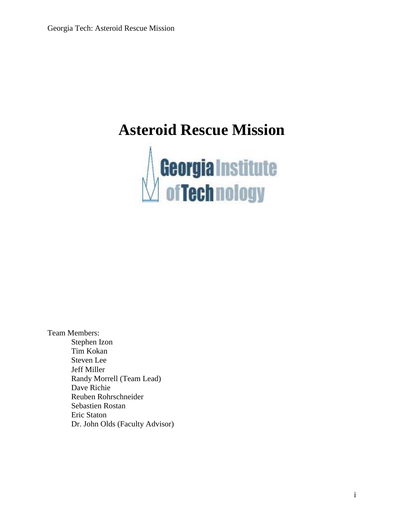# **Asteroid Rescue Mission**



Team Members: Stephen Izon Tim Kokan Steven Lee Jeff Miller Randy Morrell (Team Lead) Dave Richie Reuben Rohrschneider Sebastien Rostan Eric Staton Dr. John Olds (Faculty Advisor)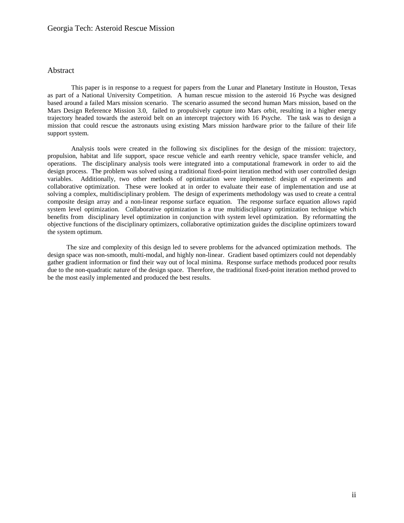# Georgia Tech: Asteroid Rescue Mission

## Abstract

This paper is in response to a request for papers from the Lunar and Planetary Institute in Houston, Texas as part of a National University Competition. A human rescue mission to the asteroid 16 Psyche was designed based around a failed Mars mission scenario. The scenario assumed the second human Mars mission, based on the Mars Design Reference Mission 3.0, failed to propulsively capture into Mars orbit, resulting in a higher energy trajectory headed towards the asteroid belt on an intercept trajectory with 16 Psyche. The task was to design a mission that could rescue the astronauts using existing Mars mission hardware prior to the failure of their life support system.

 Analysis tools were created in the following six disciplines for the design of the mission: trajectory, propulsion, habitat and life support, space rescue vehicle and earth reentry vehicle, space transfer vehicle, and operations. The disciplinary analysis tools were integrated into a computational framework in order to aid the design process. The problem was solved using a traditional fixed-point iteration method with user controlled design variables. Additionally, two other methods of optimization were implemented: design of experiments and collaborative optimization. These were looked at in order to evaluate their ease of implementation and use at solving a complex, multidisciplinary problem. The design of experiments methodology was used to create a central composite design array and a non-linear response surface equation. The response surface equation allows rapid system level optimization. Collaborative optimization is a true multidisciplinary optimization technique which benefits from disciplinary level optimization in conjunction with system level optimization. By reformatting the objective functions of the disciplinary optimizers, collaborative optimization guides the discipline optimizers toward the system optimum.

The size and complexity of this design led to severe problems for the advanced optimization methods. The design space was non-smooth, multi-modal, and highly non-linear. Gradient based optimizers could not dependably gather gradient information or find their way out of local minima. Response surface methods produced poor results due to the non-quadratic nature of the design space. Therefore, the traditional fixed-point iteration method proved to be the most easily implemented and produced the best results.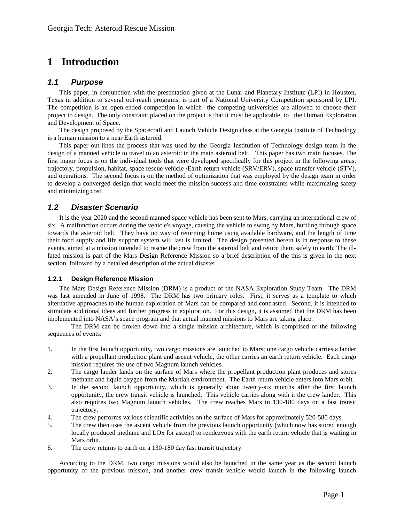# **1 Introduction**

# **1.1 Purpose**

This paper, in conjunction with the presentation given at the Lunar and Planetary Institute (LPI) in Houston, Texas in addition to several out-reach programs, is part of a National University Competition sponsored by LPI. The competition is an open-ended competition in which the competing universities are allowed to choose their project to design. The only constraint placed on the project is that it must be applicable to the Human Exploration and Development of Space.

The design proposed by the Spacecraft and Launch Vehicle Design class at the Georgia Institute of Technology is a human mission to a near Earth asteroid.

This paper out-lines the process that was used by the Georgia Institution of Technology design team in the design of a manned vehicle to travel to an asteroid in the main asteroid belt. This paper has two main focuses. The first major focus is on the individual tools that were developed specifically for this project in the following areas: trajectory, propulsion, habitat, space rescue vehicle /Earth return vehicle (SRV/ERV), space transfer vehicle (STV), and operations. The second focus is on the method of optimization that was employed by the design team in order to develop a converged design that would meet the mission success and time constraints while maximizing safety and minimizing cost.

# **1.2 Disaster Scenario**

It is the year 2020 and the second manned space vehicle has been sent to Mars, carrying an international crew of six. A malfunction occurs during the vehicle's voyage, causing the vehicle to swing by Mars, hurtling through space towards the asteroid belt. They have no way of returning home using available hardware, and the length of time their food supply and life support system will last is limited. The design presented herein is in response to these events, aimed at a mission intended to rescue the crew from the asteroid belt and return them safely to earth. The illfated mission is part of the Mars Design Reference Mission so a brief description of the this is given in the next section, followed by a detailed description of the actual disaster.

## **1.2.1 Design Reference Mission**

The Mars Design Reference Mission (DRM) is a product of the NASA Exploration Study Team. The DRM was last amended in June of 1998. The DRM has two primary roles. First, it serves as a template to which alternative approaches to the human exploration of Mars can be compared and contrasted. Second, it is intended to stimulate additional ideas and further progress in exploration. For this design, it is assumed that the DRM has been implemented into NASA's space program and that actual manned missions to Mars are taking place.

The DRM can be broken down into a single mission architecture, which is comprised of the following sequences of events:

- 1. In the first launch opportunity, two cargo missions are launched to Mars; one cargo vehicle carries a lander with a propellant production plant and ascent vehicle, the other carries an earth return vehicle. Each cargo mission requires the use of two Magnum launch vehicles.
- 2. The cargo lander lands on the surface of Mars where the propellant production plant produces and stores methane and liquid oxygen from the Martian environment. The Earth return vehicle enters into Mars orbit.
- 3. In the second launch opportunity, which is generally about twenty-six months after the first launch opportunity, the crew transit vehicle is launched. This vehicle carries along with it the crew lander. This also requires two Magnum launch vehicles. The crew reaches Mars in 130-180 days on a fast transit trajectory.
- 4. The crew performs various scientific activities on the surface of Mars for approximately 520-580 days.
- 5. The crew then uses the ascent vehicle from the previous launch opportunity (which now has stored enough locally produced methane and LOx for ascent) to rendezvous with the earth return vehicle that is waiting in Mars orbit.
- 6. The crew returns to earth on a 130-180 day fast transit trajectory

According to the DRM, two cargo missions would also be launched in the same year as the second launch opportunity of the previous mission, and another crew transit vehicle would launch in the following launch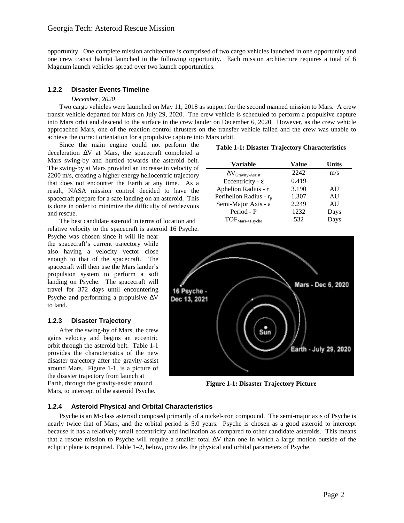opportunity. One complete mission architecture is comprised of two cargo vehicles launched in one opportunity and one crew transit habitat launched in the following opportunity. Each mission architecture requires a total of 6 Magnum launch vehicles spread over two launch opportunities.

# **1.2.2 Disaster Events Timeline**

## *December, 2020*

Two cargo vehicles were launched on May 11, 2018 as support for the second manned mission to Mars. A crew transit vehicle departed for Mars on July 29, 2020. The crew vehicle is scheduled to perform a propulsive capture into Mars orbit and descend to the surface in the crew lander on December 6, 2020. However, as the crew vehicle approached Mars, one of the reaction control thrusters on the transfer vehicle failed and the crew was unable to achieve the correct orientation for a propulsive capture into Mars orbit.

Since the main engine could not perform the deceleration ∆V at Mars, the spacecraft completed a Mars swing-by and hurtled towards the asteroid belt. The swing-by at Mars provided an increase in velocity of  $\overline{\phantom{a}}$ 2200 m/s, creating a higher energy heliocentric trajectory that does not encounter the Earth at any time. As a result, NASA mission control decided to have the spacecraft prepare for a safe landing on an asteroid. This is done in order to minimize the difficulty of rendezvous and rescue.

 The best candidate asteroid in terms of location and relative velocity to the spacecraft is asteroid 16 Psyche.

Psyche was chosen since it will lie near the spacecraft's current trajectory while also having a velocity vector close enough to that of the spacecraft. The spacecraft will then use the Mars lander's propulsion system to perform a soft landing on Psyche. The spacecraft will travel for 372 days until encountering Psyche and performing a propulsive ∆V to land.

## **1.2.3 Disaster Trajectory**

After the swing-by of Mars, the crew gains velocity and begins an eccentric orbit through the asteroid belt. Table 1-1 provides the characteristics of the new disaster trajectory after the gravity-assist around Mars. Figure 1-1, is a picture of the disaster trajectory from launch at Earth, through the gravity-assist around Mars, to intercept of the asteroid Psyche.

#### **Table 1-1: Disaster Trajectory Characteristics**

| <b>Variable</b>              | Value | Units |
|------------------------------|-------|-------|
| $\Delta V$ Gravity-Assist    | 2242  | m/s   |
| Eccentricity - $\varepsilon$ | 0.419 |       |
| Aphelion Radius - $r_a$      | 3.190 | AU    |
| Perihelion Radius - $r_p$    | 1.307 | AU    |
| Semi-Major Axis - a          | 2.249 | AU    |
| Period - P                   | 1232  | Days  |
| TOF <sub>Mars&gt;Psych</sub> | 532   | Days  |



**Figure 1-1: Disaster Trajectory Picture** 

## **1.2.4 Asteroid Physical and Orbital Characteristics**

Psyche is an M-class asteroid composed primarily of a nickel-iron compound. The semi-major axis of Psyche is nearly twice that of Mars, and the orbital period is 5.0 years. Psyche is chosen as a good asteroid to intercept because it has a relatively small eccentricity and inclination as compared to other candidate asteroids. This means that a rescue mission to Psyche will require a smaller total ∆V than one in which a large motion outside of the ecliptic plane is required. Table 1–2, below, provides the physical and orbital parameters of Psyche.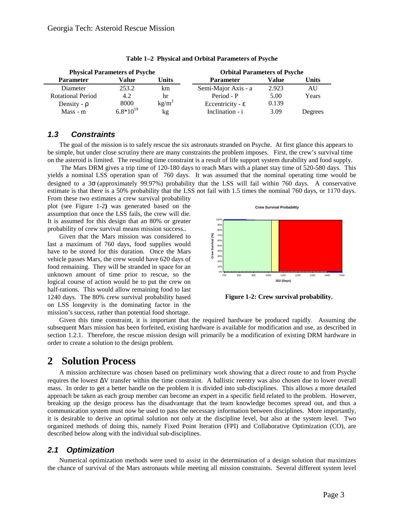| <b>Physical Parameters of Psyche</b> |               |          | <b>Orbital Parameters of Psyche</b> |              |         |  |
|--------------------------------------|---------------|----------|-------------------------------------|--------------|---------|--|
| <b>Parameter</b>                     | Value         | Units    | <b>Parameter</b>                    | <b>Value</b> | Units   |  |
| Diameter                             | 253.2         | km       | Semi-Major Axis - a                 | 2.923        | AU      |  |
| <b>Rotational Period</b>             | 4.2           | hr       | Period - P                          | 5.00         | Years   |  |
| Density - $\rho$                     | 8000          | $kg/m^3$ | Eccentricity - $\varepsilon$        | 0.139        |         |  |
| $Mass - m$                           | $6.8*10^{19}$ | kg       | Inclination - i                     | 3.09         | Degrees |  |

|  | Table 1–2 Physical and Orbital Parameters of Psyche |  |  |
|--|-----------------------------------------------------|--|--|
|--|-----------------------------------------------------|--|--|

# **1.3 Constraints**

The goal of the mission is to safely rescue the six astronauts stranded on Psyche. At first glance this appears to be simple, but under close scrutiny there are many constraints the problem imposes. First, the crew's survival time on the asteroid is limited. The resulting time constraint is a result of life support system durability and food supply.

 The Mars DRM gives a trip time of 120-180 days to reach Mars with a planet stay time of 520-580 days. This yields a nominal LSS operation span of 760 days. It was assumed that the nominal operating time would be designed to a 3σ (approximately 99.97%) probability that the LSS will fail within 760 days. A conservative estimate is that there is a 50% probability that the LSS not fail with 1.5 times the nominal 760 days, or 1170 days.

From these two estimates a crew survival probability plot (see Figure 1-2**)** was generated based on the assumption that once the LSS fails, the crew will die. It is assumed for this design that an 80% or greater probability of crew survival means mission success..

Given that the Mars mission was considered to last a maximum of 760 days, food supplies would have to be stored for this duration. Once the Mars vehicle passes Mars, the crew would have 620 days of food remaining. They will be stranded in space for an unknown amount of time prior to rescue, so the logical course of action would be to put the crew on half-rations. This would allow remaining food to last 1240 days. The 80% crew survival probability based on LSS longevity is the dominating factor in the mission's success, rather than potential food shortage.



**Figure 1-2: Crew survival probability.**

Given this time constraint, it is important that the required hardware be produced rapidly. Assuming the subsequent Mars mission has been forfeited, existing hardware is available for modification and use, as described in section 1.2.1. Therefore, the rescue mission design will primarily be a modification of existing DRM hardware in order to create a solution to the design problem.

# **2 Solution Process**

A mission architecture was chosen based on preliminary work showing that a direct route to and from Psyche requires the lowest ∆V transfer within the time constraint. A ballistic reentry was also chosen due to lower overall mass. In order to get a better handle on the problem it is divided into sub-disciplines. This allows a more detailed approach be taken as each group member can become an expert in a specific field related to the problem. However, breaking up the design process has the disadvantage that the team knowledge becomes spread out, and thus a communication system must now be used to pass the necessary information between disciplines. More importantly, it is desirable to derive an optimal solution not only at the discipline level, but also at the system level. Two organized methods of doing this, namely Fixed Point Iteration (FPI) and Collaborative Optimization (CO), are described below along with the individual sub-disciplines.

# **2.1 Optimization**

Numerical optimization methods were used to assist in the determination of a design solution that maximizes the chance of survival of the Mars astronauts while meeting all mission constraints. Several different system level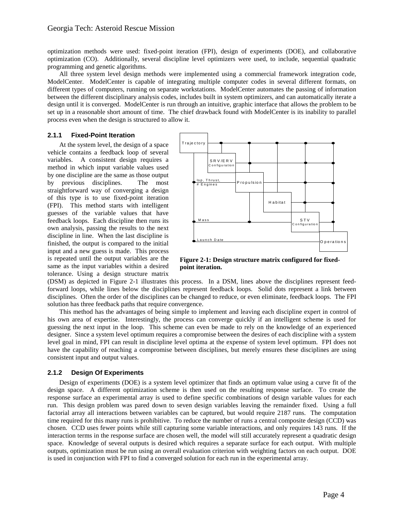optimization methods were used: fixed-point iteration (FPI), design of experiments (DOE), and collaborative optimization (CO). Additionally, several discipline level optimizers were used, to include, sequential quadratic programming and genetic algorithms.

All three system level design methods were implemented using a commercial framework integration code, ModelCenter. ModelCenter is capable of integrating multiple computer codes in several different formats, on different types of computers, running on separate workstations. ModelCenter automates the passing of information between the different disciplinary analysis codes, includes built in system optimizers, and can automatically iterate a design until it is converged. ModelCenter is run through an intuitive, graphic interface that allows the problem to be set up in a reasonable short amount of time. The chief drawback found with ModelCenter is its inability to parallel process even when the design is structured to allow it.

# **2.1.1 Fixed-Point Iteration**

At the system level, the design of a space vehicle contains a feedback loop of several variables. A consistent design requires a method in which input variable values used by one discipline are the same as those output by previous disciplines. The most straightforward way of converging a design of this type is to use fixed-point iteration (FPI). This method starts with intelligent guesses of the variable values that have feedback loops. Each discipline then runs its own analysis, passing the results to the next discipline in line. When the last discipline is finished, the output is compared to the initial input and a new guess is made. This process is repeated until the output variables are the same as the input variables within a desired tolerance. Using a design structure matrix



**Figure 2-1: Design structure matrix configured for fixedpoint iteration.** 

(DSM) as depicted in Figure 2-1 illustrates this process. In a DSM, lines above the disciplines represent feedforward loops, while lines below the disciplines represent feedback loops. Solid dots represent a link between disciplines. Often the order of the disciplines can be changed to reduce, or even eliminate, feedback loops. The FPI solution has three feedback paths that require convergence.

This method has the advantages of being simple to implement and leaving each discipline expert in control of his own area of expertise. Interestingly, the process can converge quickly if an intelligent scheme is used for guessing the next input in the loop. This scheme can even be made to rely on the knowledge of an experienced designer. Since a system level optimum requires a compromise between the desires of each discipline with a system level goal in mind, FPI can result in discipline level optima at the expense of system level optimum. FPI does not have the capability of reaching a compromise between disciplines, but merely ensures these disciplines are using consistent input and output values.

## **2.1.2 Design Of Experiments**

Design of experiments (DOE) is a system level optimizer that finds an optimum value using a curve fit of the design space. A different optimization scheme is then used on the resulting response surface. To create the response surface an experimental array is used to define specific combinations of design variable values for each run. This design problem was pared down to seven design variables leaving the remainder fixed. Using a full factorial array all interactions between variables can be captured, but would require 2187 runs. The computation time required for this many runs is prohibitive. To reduce the number of runs a central composite design (CCD) was chosen. CCD uses fewer points while still capturing some variable interactions, and only requires 143 runs. If the interaction terms in the response surface are chosen well, the model will still accurately represent a quadratic design space. Knowledge of several outputs is desired which requires a separate surface for each output. With multiple outputs, optimization must be run using an overall evaluation criterion with weighting factors on each output. DOE is used in conjunction with FPI to find a converged solution for each run in the experimental array.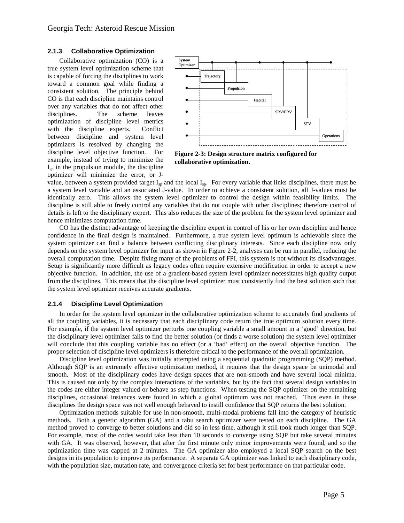#### **2.1.3 Collaborative Optimization**

Collaborative optimization (CO) is a true system level optimization scheme that is capable of forcing the disciplines to work toward a common goal while finding a consistent solution. The principle behind CO is that each discipline maintains control over any variables that do not affect other disciplines. The scheme leaves optimization of discipline level metrics with the discipline experts. Conflict between discipline and system level optimizers is resolved by changing the discipline level objective function. For example, instead of trying to minimize the  $I_{\rm{sp}}$  in the propulsion module, the discipline optimizer will minimize the error, or J-



**Figure 2-3: Design structure matrix configured for collaborative optimization.** 

value, between a system provided target  $I_{sp}$  and the local  $I_{sp}$ . For every variable that links disciplines, there must be a system level variable and an associated J-value. In order to achieve a consistent solution, all J-values must be identically zero. This allows the system level optimizer to control the design within feasibility limits. The discipline is still able to freely control any variables that do not couple with other disciplines; therefore control of details is left to the disciplinary expert. This also reduces the size of the problem for the system level optimizer and hence minimizes computation time.

CO has the distinct advantage of keeping the discipline expert in control of his or her own discipline and hence confidence in the final design is maintained. Furthermore, a true system level optimum is achievable since the system optimizer can find a balance between conflicting disciplinary interests. Since each discipline now only depends on the system level optimizer for input as shown in Figure 2-2, analyses can be run in parallel, reducing the overall computation time. Despite fixing many of the problems of FPI, this system is not without its disadvantages. Setup is significantly more difficult as legacy codes often require extensive modification in order to accept a new objective function. In addition, the use of a gradient-based system level optimizer necessitates high quality output from the disciplines. This means that the discipline level optimizer must consistently find the best solution such that the system level optimizer receives accurate gradients.

#### **2.1.4 Discipline Level Optimization**

In order for the system level optimizer in the collaborative optimization scheme to accurately find gradients of all the coupling variables, it is necessary that each disciplinary code return the true optimum solution every time. For example, if the system level optimizer perturbs one coupling variable a small amount in a 'good' direction, but the disciplinary level optimizer fails to find the better solution (or finds a worse solution) the system level optimizer will conclude that this coupling variable has no effect (or a 'bad' effect) on the overall objective function. The proper selection of discipline level optimizers is therefore critical to the performance of the overall optimization.

Discipline level optimization was initially attempted using a sequential quadratic programming (SQP) method. Although SQP is an extremely effective optimization method, it requires that the design space be unimodal and smooth. Most of the disciplinary codes have design spaces that are non-smooth and have several local minima. This is caused not only by the complex interactions of the variables, but by the fact that several design variables in the codes are either integer valued or behave as step functions. When testing the SQP optimizer on the remaining disciplines, occasional instances were found in which a global optimum was not reached. Thus even in these disciplines the design space was not well enough behaved to instill confidence that SQP returns the best solution.

Optimization methods suitable for use in non-smooth, multi-modal problems fall into the category of heuristic methods. Both a genetic algorithm (GA) and a tabu search optimizer were tested on each discipline. The GA method proved to converge to better solutions and did so in less time, although it still took much longer than SQP. For example, most of the codes would take less than 10 seconds to converge using SQP but take several minutes with GA. It was observed, however, that after the first minute only minor improvements were found, and so the optimization time was capped at 2 minutes. The GA optimizer also employed a local SQP search on the best designs in its population to improve its performance. A separate GA optimizer was linked to each disciplinary code, with the population size, mutation rate, and convergence criteria set for best performance on that particular code.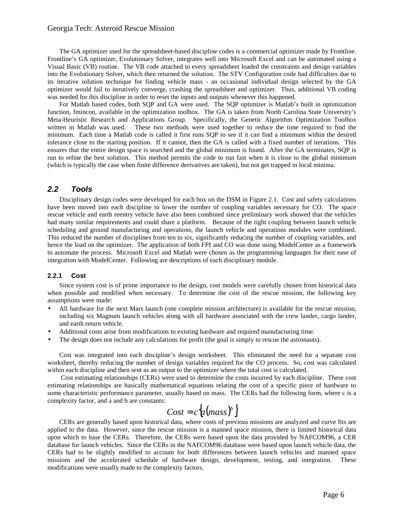## Georgia Tech: Asteroid Rescue Mission

The GA optimizer used for the spreadsheet-based discipline codes is a commercial optimizer made by Frontline. Frontline's GA optimizer, Evolutionary Solver, integrates well into Microsoft Excel and can be automated using a Visual Basic (VB) routine. The VB code attached to every spreadsheet loaded the constraints and design variables into the Evolutionary Solver, which then returned the solution. The STV Configuration code had difficulties due to its iterative solution technique for finding vehicle mass - an occasional individual design selected by the GA optimizer would fail to iteratively converge, crashing the spreadsheet and optimizer. Thus, additional VB coding was needed for this discipline in order to reset the inputs and outputs whenever this happened.

For Matlab based codes, both SQP and GA were used. The SQP optimizer is Matlab's built in optimization function, fmincon, available in the optimization toolbox. The GA is taken from North Carolina State University's Meta-Heuristic Research and Applications Group. Specifically, the Genetic Algorithm Optimization Toolbox written in Matlab was used. These two methods were used together to reduce the time required to find the minimum. Each time a Matlab code is called it first runs SQP to see if it can find a minimum within the desired tolerance close to the starting position. If it cannot, then the GA is called with a fixed number of iterations. This ensures that the entire design space is searched and the global minimum is found. After the GA terminates, SQP is run to refine the best solution. This method permits the code to run fast when it is close to the global minimum (which is typically the case when finite difference derivatives are taken), but not get trapped in local minima.

# **2.2 Tools**

Disciplinary design codes were developed for each box on the DSM in Figure 2.1. Cost and safety calculations have been moved into each discipline to lower the number of coupling variables necessary for CO. The space rescue vehicle and earth reentry vehicle have also been combined since preliminary work showed that the vehicles had many similar requirements and could share a platform. Because of the tight coupling between launch vehicle scheduling and ground manufacturing and operations, the launch vehicle and operations modules were combined. This reduced the number of disciplines from ten to six, significantly reducing the number of coupling variables, and hence the load on the optimizer. The application of both FPI and CO was done using ModelCenter as a framework to automate the process. Microsoft Excel and Matlab were chosen as the programming languages for their ease of integration with ModelCenter. Following are descriptions of each disciplinary module.

#### **2.2.1 Cost**

Since system cost is of prime importance to the design, cost models were carefully chosen from historical data when possible and modified when necessary. To determine the cost of the rescue mission, the following key assumptions were made:

- All hardware for the next Mars launch (one complete mission architecture) is available for the rescue mission, including six Magnum launch vehicles along with all hardware associated with the crew lander, cargo lander, and earth return vehicle.
- Additional costs arise from modifications to existing hardware and required manufacturing time.
- The design does not include any calculations for profit (the goal is simply to rescue the astronauts).

Cost was integrated into each discipline's design worksheet. This eliminated the need for a separate cost worksheet, thereby reducing the number of design variables required for the CO process. So, cost was calculated within each discipline and then sent as an output to the optimizer where the total cost is calculated.

 Cost estimating relationships (CERs) were used to determine the costs incurred by each discipline. These cost estimating relationships are basically mathematical equations relating the cost of a specific piece of hardware to some characteristic performance parameter, usually based on mass. The CERs had the following form, where c is a complexity factor, and a and b are constants:

$$
Cost = c \big\{a(mass)^b\big\}
$$

CERs are generally based upon historical data, where costs of previous missions are analyzed and curve fits are applied to the data. However, since the rescue mission is a manned space mission, there is limited historical data upon which to base the CERs. Therefore, the CERs were based upon the data provided by NAFCOM96, a CER database for launch vehicles. Since the CERs in the NAFCOM96 database were based upon launch vehicle data, the CERs had to be slightly modified to account for both differences between launch vehicles and manned space missions and the accelerated schedule of hardware design, development, testing, and integration. These modifications were usually made to the complexity factors.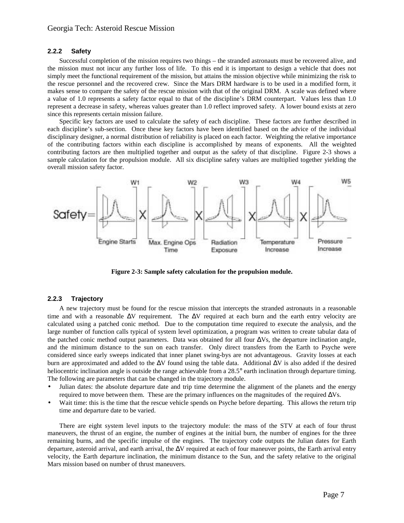#### **2.2.2 Safety**

Successful completion of the mission requires two things – the stranded astronauts must be recovered alive, and the mission must not incur any further loss of life. To this end it is important to design a vehicle that does not simply meet the functional requirement of the mission, but attains the mission objective while minimizing the risk to the rescue personnel and the recovered crew. Since the Mars DRM hardware is to be used in a modified form, it makes sense to compare the safety of the rescue mission with that of the original DRM. A scale was defined where a value of 1.0 represents a safety factor equal to that of the discipline's DRM counterpart. Values less than 1.0 represent a decrease in safety, whereas values greater than 1.0 reflect improved safety. A lower bound exists at zero since this represents certain mission failure.

Specific key factors are used to calculate the safety of each discipline. These factors are further described in each discipline's sub-section. Once these key factors have been identified based on the advice of the individual disciplinary designer, a normal distribution of reliability is placed on each factor. Weighting the relative importance of the contributing factors within each discipline is accomplished by means of exponents. All the weighted contributing factors are then multiplied together and output as the safety of that discipline. Figure 2-3 shows a sample calculation for the propulsion module. All six discipline safety values are multiplied together yielding the overall mission safety factor.



**Figure 2-3: Sample safety calculation for the propulsion module.** 

#### **2.2.3 Trajectory**

A new trajectory must be found for the rescue mission that intercepts the stranded astronauts in a reasonable time and with a reasonable ∆V requirement. The ∆V required at each burn and the earth entry velocity are calculated using a patched conic method. Due to the computation time required to execute the analysis, and the large number of function calls typical of system level optimization, a program was written to create tabular data of the patched conic method output parameters. Data was obtained for all four ∆Vs, the departure inclination angle, and the minimum distance to the sun on each transfer. Only direct transfers from the Earth to Psyche were considered since early sweeps indicated that inner planet swing-bys are not advantageous. Gravity losses at each burn are approximated and added to the ∆V found using the table data. Additional ∆V is also added if the desired heliocentric inclination angle is outside the range achievable from a 28.5° earth inclination through departure timing. The following are parameters that can be changed in the trajectory module.

- Julian dates: the absolute departure date and trip time determine the alignment of the planets and the energy required to move between them. These are the primary influences on the magnitudes of the required ∆Vs.
- Wait time: this is the time that the rescue vehicle spends on Psyche before departing. This allows the return trip time and departure date to be varied.

There are eight system level inputs to the trajectory module: the mass of the STV at each of four thrust maneuvers, the thrust of an engine, the number of engines at the initial burn, the number of engines for the three remaining burns, and the specific impulse of the engines. The trajectory code outputs the Julian dates for Earth departure, asteroid arrival, and earth arrival, the ∆V required at each of four maneuver points, the Earth arrival entry velocity, the Earth departure inclination, the minimum distance to the Sun, and the safety relative to the original Mars mission based on number of thrust maneuvers.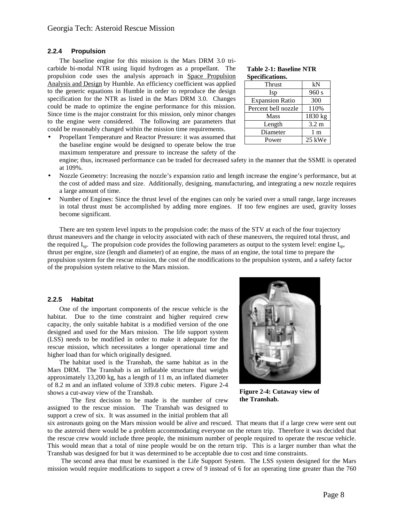#### **2.2.4 Propulsion**

The baseline engine for this mission is the Mars DRM 3.0 tricarbide bi-modal NTR using liquid hydrogen as a propellant. The propulsion code uses the analysis approach in Space Propulsion Analysis and Design by Humble. An efficiency coefficient was applied to the generic equations in Humble in order to reproduce the design specification for the NTR as listed in the Mars DRM 3.0. Changes could be made to optimize the engine performance for this mission. Since time is the major constraint for this mission, only minor changes to the engine were considered. The following are parameters that could be reasonably changed within the mission time requirements.

• Propellant Temperature and Reactor Pressure: it was assumed that the baseline engine would be designed to operate below the true maximum temperature and pressure to increase the safety of the

#### **Table 2-1: Baseline NTR Specifications.**

| Thrust                 | kN             |
|------------------------|----------------|
| Isp                    | 960 s          |
| <b>Expansion Ratio</b> | 300            |
| Percent bell nozzle    | 110%           |
| <b>Mass</b>            | 1830 kg        |
| Length                 | 3.2 m          |
| Diameter               | 1 <sub>m</sub> |
| Power                  | 25 kWe         |

engine; thus, increased performance can be traded for decreased safety in the manner that the SSME is operated at 109%.

- Nozzle Geometry: Increasing the nozzle's expansion ratio and length increase the engine's performance, but at the cost of added mass and size. Additionally, designing, manufacturing, and integrating a new nozzle requires a large amount of time.
- Number of Engines: Since the thrust level of the engines can only be varied over a small range, large increases in total thrust must be accomplished by adding more engines. If too few engines are used, gravity losses become significant.

There are ten system level inputs to the propulsion code: the mass of the STV at each of the four trajectory thrust maneuvers and the change in velocity associated with each of these maneuvers, the required total thrust, and the required  $I_{\rm SD}$ . The propulsion code provides the following parameters as output to the system level: engine  $I_{\rm SD}$ , thrust per engine, size (length and diameter) of an engine, the mass of an engine, the total time to prepare the propulsion system for the rescue mission, the cost of the modifications to the propulsion system, and a safety factor of the propulsion system relative to the Mars mission.

#### **2.2.5 Habitat**

One of the important components of the rescue vehicle is the habitat. Due to the time constraint and higher required crew capacity, the only suitable habitat is a modified version of the one designed and used for the Mars mission. The life support system (LSS) needs to be modified in order to make it adequate for the rescue mission, which necessitates a longer operational time and higher load than for which originally designed.

The habitat used is the Transhab, the same habitat as in the Mars DRM. The Transhab is an inflatable structure that weighs approximately 13,200 kg, has a length of 11 m, an inflated diameter of 8.2 m and an inflated volume of 339.8 cubic meters. Figure 2-4 shows a cut-away view of the Transhab.

 The first decision to be made is the number of crew assigned to the rescue mission. The Transhab was designed to support a crew of six. It was assumed in the initial problem that all



**Figure 2-4: Cutaway view of the Transhab.** 

six astronauts going on the Mars mission would be alive and rescued. That means that if a large crew were sent out to the asteroid there would be a problem accommodating everyone on the return trip. Therefore it was decided that the rescue crew would include three people, the minimum number of people required to operate the rescue vehicle. This would mean that a total of nine people would be on the return trip. This is a larger number than what the Transhab was designed for but it was determined to be acceptable due to cost and time constraints.

 The second area that must be examined is the Life Support System. The LSS system designed for the Mars mission would require modifications to support a crew of 9 instead of 6 for an operating time greater than the 760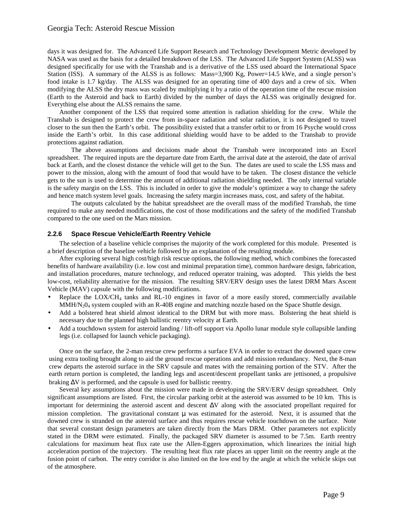days it was designed for. The Advanced Life Support Research and Technology Development Metric developed by NASA was used as the basis for a detailed breakdown of the LSS. The Advanced Life Support System (ALSS) was designed specifically for use with the Transhab and is a derivative of the LSS used aboard the International Space Station (ISS). A summary of the ALSS is as follows: Mass=3,900 Kg, Power=14.5 kWe, and a single person's food intake is 1.7 kg/day. The ALSS was designed for an operating time of 400 days and a crew of six. When modifying the ALSS the dry mass was scaled by multiplying it by a ratio of the operation time of the rescue mission (Earth to the Asteroid and back to Earth) divided by the number of days the ALSS was originally designed for. Everything else about the ALSS remains the same.

Another component of the LSS that required some attention is radiation shielding for the crew. While the Transhab is designed to protect the crew from in-space radiation and solar radiation, it is not designed to travel closer to the sun then the Earth's orbit. The possibility existed that a transfer orbit to or from 16 Psyche would cross inside the Earth's orbit. In this case additional shielding would have to be added to the Transhab to provide protections against radiation.

 The above assumptions and decisions made about the Transhab were incorporated into an Excel spreadsheet. The required inputs are the departure date from Earth, the arrival date at the asteroid, the date of arrival back at Earth, and the closest distance the vehicle will get to the Sun. The dates are used to scale the LSS mass and power to the mission, along with the amount of food that would have to be taken. The closest distance the vehicle gets to the sun is used to determine the amount of additional radiation shielding needed. The only internal variable is the safety margin on the LSS. This is included in order to give the module's optimizer a way to change the safety and hence match system level goals. Increasing the safety margin increases mass, cost, and safety of the habitat.

 The outputs calculated by the habitat spreadsheet are the overall mass of the modified Transhab, the time required to make any needed modifications, the cost of those modifications and the safety of the modified Transhab compared to the one used on the Mars mission.

## **2.2.6 Space Rescue Vehicle/Earth Reentry Vehicle**

The selection of a baseline vehicle comprises the majority of the work completed for this module. Presented is a brief description of the baseline vehicle followed by an explanation of the resulting module.

After exploring several high cost/high risk rescue options, the following method, which combines the forecasted benefits of hardware availability (i.e. low cost and minimal preparation time), common hardware design, fabrication, and installation procedures, mature technology, and reduced operator training, was adopted. This yields the best low-cost, reliability alternative for the mission. The resulting SRV/ERV design uses the latest DRM Mars Ascent Vehicle (MAV) capsule with the following modifications.

- Replace the  $LOX/CH<sub>4</sub>$  tanks and RL-10 engines in favor of a more easily stored, commercially available MMH/N204 system coupled with an R-40B engine and matching nozzle based on the Space Shuttle design.
- Add a bolstered heat shield almost identical to the DRM but with more mass. Bolstering the heat shield is necessary due to the planned high ballistic reentry velocity at Earth.
- Add a touchdown system for asteroid landing / lift-off support via Apollo lunar module style collapsible landing legs (i.e. collapsed for launch vehicle packaging).

Once on the surface, the 2-man rescue crew performs a surface EVA in order to extract the downed space crew using extra tooling brought along to aid the ground rescue operations and add mission redundancy. Next, the 8-man crew departs the asteroid surface in the SRV capsule and mates with the remaining portion of the STV. After the earth return portion is completed, the landing legs and ascent/descent propellant tanks are jettisoned, a propulsive braking ∆V is performed, and the capsule is used for ballistic reentry.

Several key assumptions about the mission were made in developing the SRV/ERV design spreadsheet. Only significant assumptions are listed. First, the circular parking orbit at the asteroid was assumed to be 10 km. This is important for determining the asteroid ascent and descent ∆V along with the associated propellant required for mission completion. The gravitational constant  $\mu$  was estimated for the asteroid. Next, it is assumed that the downed crew is stranded on the asteroid surface and thus requires rescue vehicle touchdown on the surface. Note that several constant design parameters are taken directly from the Mars DRM. Other parameters not explicitly stated in the DRM were estimated. Finally, the packaged SRV diameter is assumed to be 7.5m. Earth reentry calculations for maximum heat flux rate use the Allen-Eggers approximation, which linearizes the initial high acceleration portion of the trajectory. The resulting heat flux rate places an upper limit on the reentry angle at the fusion point of carbon. The entry corridor is also limited on the low end by the angle at which the vehicle skips out of the atmosphere.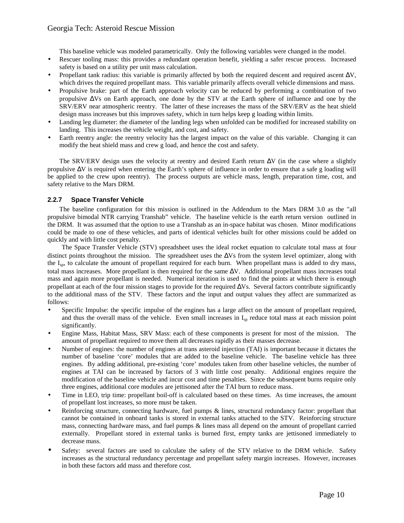This baseline vehicle was modeled parametrically. Only the following variables were changed in the model.

- Rescuer tooling mass: this provides a redundant operation benefit, yielding a safer rescue process. Increased safety is based on a utility per unit mass calculation.
- Propellant tank radius: this variable is primarily affected by both the required descent and required ascent  $\Delta V$ , which drives the required propellant mass. This variable primarily affects overall vehicle dimensions and mass.
- Propulsive brake: part of the Earth approach velocity can be reduced by performing a combination of two propulsive ∆Vs on Earth approach, one done by the STV at the Earth sphere of influence and one by the SRV/ERV near atmospheric reentry. The latter of these increases the mass of the SRV/ERV as the heat shield design mass increases but this improves safety, which in turn helps keep g loading within limits.
- Landing leg diameter: the diameter of the landing legs when unfolded can be modified for increased stability on landing. This increases the vehicle weight, and cost, and safety.
- Earth reentry angle: the reentry velocity has the largest impact on the value of this variable. Changing it can modify the heat shield mass and crew g load, and hence the cost and safety.

The SRV/ERV design uses the velocity at reentry and desired Earth return ∆V (in the case where a slightly propulsive ∆V is required when entering the Earth's sphere of influence in order to ensure that a safe g loading will be applied to the crew upon reentry). The process outputs are vehicle mass, length, preparation time, cost, and safety relative to the Mars DRM.

# **2.2.7 Space Transfer Vehicle**

The baseline configuration for this mission is outlined in the Addendum to the Mars DRM 3.0 as the "all propulsive bimodal NTR carrying Transhab" vehicle. The baseline vehicle is the earth return version outlined in the DRM. It was assumed that the option to use a Transhab as an in-space habitat was chosen. Minor modifications could be made to one of these vehicles, and parts of identical vehicles built for other missions could be added on quickly and with little cost penalty.

The Space Transfer Vehicle (STV) spreadsheet uses the ideal rocket equation to calculate total mass at four distinct points throughout the mission. The spreadsheet uses the ∆Vs from the system level optimizer, along with the I<sub>sp</sub>, to calculate the amount of propellant required for each burn. When propellant mass is added to dry mass, total mass increases. More propellant is then required for the same ∆V. Additional propellant mass increases total mass and again more propellant is needed. Numerical iteration is used to find the points at which there is enough propellant at each of the four mission stages to provide for the required ∆Vs. Several factors contribute significantly to the additional mass of the STV. These factors and the input and output values they affect are summarized as follows:

- Specific Impulse: the specific impulse of the engines has a large affect on the amount of propellant required, and thus the overall mass of the vehicle. Even small increases in  $I_{\rm SD}$  reduce total mass at each mission point significantly.
- Engine Mass, Habitat Mass, SRV Mass: each of these components is present for most of the mission. The amount of propellant required to move them all decreases rapidly as their masses decrease.
- Number of engines: the number of engines at trans asteroid injection (TAI) is important because it dictates the number of baseline 'core' modules that are added to the baseline vehicle. The baseline vehicle has three engines. By adding additional, pre-existing 'core' modules taken from other baseline vehicles, the number of engines at TAI can be increased by factors of 3 with little cost penalty. Additional engines require the modification of the baseline vehicle and incur cost and time penalties. Since the subsequent burns require only three engines, additional core modules are jettisoned after the TAI burn to reduce mass.
- Time in LEO, trip time: propellant boil-off is calculated based on these times. As time increases, the amount of propellant lost increases, so more must be taken.
- Reinforcing structure, connecting hardware, fuel pumps & lines, structural redundancy factor: propellant that cannot be contained in onboard tanks is stored in external tanks attached to the STV. Reinforcing structure mass, connecting hardware mass, and fuel pumps & lines mass all depend on the amount of propellant carried externally. Propellant stored in external tanks is burned first, empty tanks are jettisoned immediately to decrease mass.
- Safety: several factors are used to calculate the safety of the STV relative to the DRM vehicle. Safety increases as the structural redundancy percentage and propellant safety margin increases. However, increases in both these factors add mass and therefore cost.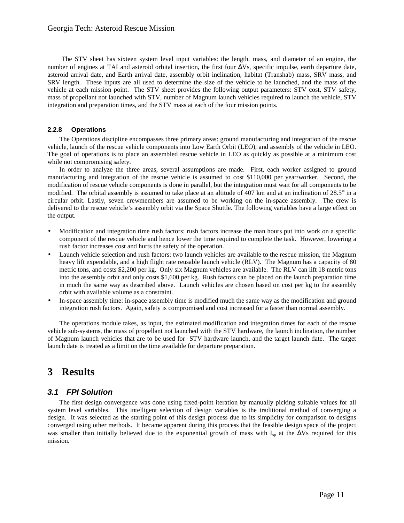The STV sheet has sixteen system level input variables: the length, mass, and diameter of an engine, the number of engines at TAI and asteroid orbital insertion, the first four ∆Vs, specific impulse, earth departure date, asteroid arrival date, and Earth arrival date, assembly orbit inclination, habitat (Transhab) mass, SRV mass, and SRV length. These inputs are all used to determine the size of the vehicle to be launched, and the mass of the vehicle at each mission point. The STV sheet provides the following output parameters: STV cost, STV safety, mass of propellant not launched with STV, number of Magnum launch vehicles required to launch the vehicle, STV integration and preparation times, and the STV mass at each of the four mission points.

## **2.2.8 Operations**

The Operations discipline encompasses three primary areas: ground manufacturing and integration of the rescue vehicle, launch of the rescue vehicle components into Low Earth Orbit (LEO), and assembly of the vehicle in LEO. The goal of operations is to place an assembled rescue vehicle in LEO as quickly as possible at a minimum cost while not compromising safety.

In order to analyze the three areas, several assumptions are made. First, each worker assigned to ground manufacturing and integration of the rescue vehicle is assumed to cost \$110,000 per year/worker. Second, the modification of rescue vehicle components is done in parallel, but the integration must wait for all components to be modified. The orbital assembly is assumed to take place at an altitude of 407 km and at an inclination of 28.5° in a circular orbit. Lastly, seven crewmembers are assumed to be working on the in-space assembly. The crew is delivered to the rescue vehicle's assembly orbit via the Space Shuttle. The following variables have a large effect on the output.

- Modification and integration time rush factors: rush factors increase the man hours put into work on a specific component of the rescue vehicle and hence lower the time required to complete the task. However, lowering a rush factor increases cost and hurts the safety of the operation.
- Launch vehicle selection and rush factors: two launch vehicles are available to the rescue mission, the Magnum heavy lift expendable, and a high flight rate reusable launch vehicle (RLV). The Magnum has a capacity of 80 metric tons, and costs \$2,200 per kg. Only six Magnum vehicles are available. The RLV can lift 18 metric tons into the assembly orbit and only costs \$1,600 per kg. Rush factors can be placed on the launch preparation time in much the same way as described above. Launch vehicles are chosen based on cost per kg to the assembly orbit with available volume as a constraint.
- In-space assembly time: in-space assembly time is modified much the same way as the modification and ground integration rush factors. Again, safety is compromised and cost increased for a faster than normal assembly.

The operations module takes, as input, the estimated modification and integration times for each of the rescue vehicle sub-systems, the mass of propellant not launched with the STV hardware, the launch inclination, the number of Magnum launch vehicles that are to be used for STV hardware launch, and the target launch date. The target launch date is treated as a limit on the time available for departure preparation.

# **3 Results**

# **3.1 FPI Solution**

The first design convergence was done using fixed-point iteration by manually picking suitable values for all system level variables. This intelligent selection of design variables is the traditional method of converging a design. It was selected as the starting point of this design process due to its simplicity for comparison to designs converged using other methods. It became apparent during this process that the feasible design space of the project was smaller than initially believed due to the exponential growth of mass with I<sub>sp</sub> at the ∆Vs required for this mission.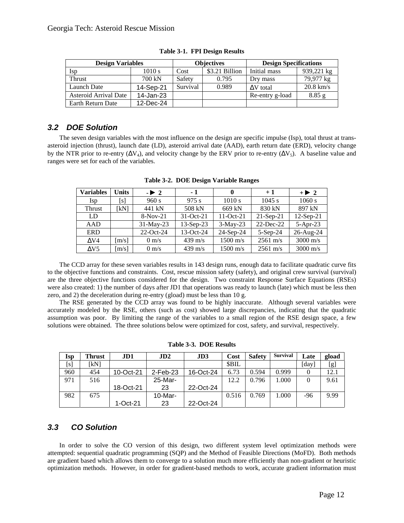| <b>Design Variables</b> |           |          | <b>Objectives</b> | <b>Design Specifications</b> |             |
|-------------------------|-----------|----------|-------------------|------------------------------|-------------|
| Isp                     | 1010 s    | Cost     | \$3.21 Billion    | Initial mass                 | 939,221 kg  |
| <b>Thrust</b>           | 700 kN    | Safety   | 0.795             | Dry mass                     | 79,977 kg   |
| Launch Date             | 14-Sep-21 | Survival | 0.989             | $\Delta V$ total             | $20.8$ km/s |
| Asteroid Arrival Date   | 14-Jan-23 |          |                   | Re-entry g-load              | 8.85g       |
| Earth Return Date       | 12-Dec-24 |          |                   |                              |             |

**Table 3-1. FPI Design Results** 

# **3.2 DOE Solution**

The seven design variables with the most influence on the design are specific impulse (Isp), total thrust at transasteroid injection (thrust), launch date (LD), asteroid arrival date (AAD), earth return date (ERD), velocity change by the NTR prior to re-entry ( $\Delta V_4$ ), and velocity change by the ERV prior to re-entry ( $\Delta V_5$ ). A baseline value and ranges were set for each of the variables.

| <b>Variables</b> | <b>Units</b> | $-1\quad2$      | $-1$              | $\bf{0}$           | $+1$               | $+1$ 2             |
|------------------|--------------|-----------------|-------------------|--------------------|--------------------|--------------------|
| Isp              | [s]          | 960 s           | 975 s             | 1010 s             | 1045 s             | 1060 s             |
| <b>Thrust</b>    | [kN]         | 441 kN          | 508 kN            | 669 kN             | 830 kN             | 897 kN             |
| LD               |              | $8-Nov-21$      | $31-Oct-21$       | $11$ -Oct-21       | $21-Sep-21$        | $12$ -Sep-21       |
| AAD              |              | 31-May-23       | $13-Sep-23$       | $3-May-23$         | $22$ -Dec-22       | $5-Apr-23$         |
| <b>ERD</b>       |              | 22-Oct-24       | 13-Oct-24         | $24-Sep-24$        | $5-Sep-24$         | 26-Aug-24          |
| $\Delta V4$      | [m/s]        | $0 \text{ m/s}$ | $439 \text{ m/s}$ | $1500 \text{ m/s}$ | $2561 \text{ m/s}$ | $3000 \text{ m/s}$ |
| $\Delta V$ 5     | [m/s]        | $0 \text{ m/s}$ | $439 \text{ m/s}$ | $1500 \text{ m/s}$ | $2561 \text{ m/s}$ | $3000 \text{ m/s}$ |

**Table 3-2. DOE Design Variable Ranges** 

The CCD array for these seven variables results in 143 design runs, enough data to facilitate quadratic curve fits to the objective functions and constraints. Cost, rescue mission safety (safety), and original crew survival (survival) are the three objective functions considered for the design. Two constraint Response Surface Equations (RSEs) were also created: 1) the number of days after JD1 that operations was ready to launch (late) which must be less then zero, and 2) the deceleration during re-entry (gload) must be less than 10 g.

The RSE generated by the CCD array was found to be highly inaccurate. Although several variables were accurately modeled by the RSE, others (such as cost) showed large discrepancies, indicating that the quadratic assumption was poor. By limiting the range of the variables to a small region of the RSE design space, a few solutions were obtained. The three solutions below were optimized for cost, safety, and survival, respectively.

| Isp | Thrust | JD1        | JD2         | JD3       | Cost        | <b>Safety</b> | <b>Survival</b> | Late     | gload |
|-----|--------|------------|-------------|-----------|-------------|---------------|-----------------|----------|-------|
| [s] | ſkN1   |            |             |           | <b>SBIL</b> |               |                 | [day]    | [g]   |
| 960 | 454    | 10-Oct-21  | $2$ -Feb-23 | 16-Oct-24 | 6.73        | 0.594         | 0.999           |          | 12.1  |
| 971 | 516    |            | 25-Mar-     |           | 12.2        | 0.796         | 1.000           | $\Omega$ | 9.61  |
|     |        | 18-Oct-21  | 23          | 22-Oct-24 |             |               |                 |          |       |
| 982 | 675    |            | $10-Mar-$   |           | 0.516       | 0.769         | .000            | -96      | 9.99  |
|     |        | $1-Oct-21$ | 23          | 22-Oct-24 |             |               |                 |          |       |

**Table 3-3. DOE Results** 

# **3.3 CO Solution**

In order to solve the CO version of this design, two different system level optimization methods were attempted: sequential quadratic programming (SQP) and the Method of Feasible Directions (MoFD). Both methods are gradient based which allows them to converge to a solution much more efficiently than non-gradient or heuristic optimization methods. However, in order for gradient-based methods to work, accurate gradient information must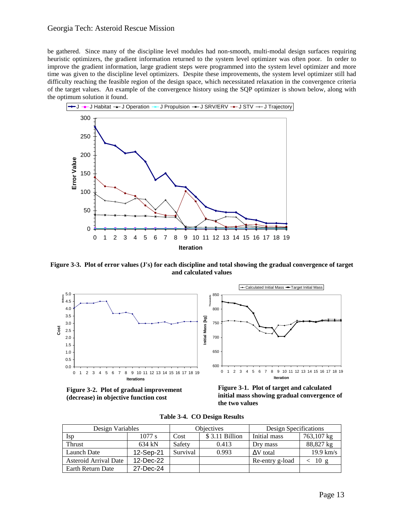## Georgia Tech: Asteroid Rescue Mission

be gathered. Since many of the discipline level modules had non-smooth, multi-modal design surfaces requiring heuristic optimizers, the gradient information returned to the system level optimizer was often poor. In order to improve the gradient information, large gradient steps were programmed into the system level optimizer and more time was given to the discipline level optimizers. Despite these improvements, the system level optimizer still had difficulty reaching the feasible region of the design space, which necessitated relaxation in the convergence criteria of the target values. An example of the convergence history using the SQP optimizer is shown below, along with the optimum solution it found.



**Figure 3-3. Plot of error values (J's) for each discipline and total showing the gradual convergence of target and calculated values** 



**Figure 3-2. Plot of gradual improvement (decrease) in objective function cost** 

**Figure 3-1. Plot of target and calculated initial mass showing gradual convergence of the two values**

| Design Variables      |           |                        | Design Specifications<br>Objectives |                  |             |
|-----------------------|-----------|------------------------|-------------------------------------|------------------|-------------|
| Isp                   | $1077$ s  | \$3.11 Billion<br>Cost |                                     | Initial mass     | 763,107 kg  |
| Thrust                | 634 kN    | Safety                 | 0.413                               | Dry mass         | 88,827 kg   |
| <b>Launch Date</b>    | 12-Sep-21 | Survival               | 0.993                               | $\Delta V$ total | $19.9$ km/s |
| Asteroid Arrival Date | 12-Dec-22 |                        |                                     | Re-entry g-load  | 10g         |
| Earth Return Date     | 27-Dec-24 |                        |                                     |                  |             |

**Table 3-4. CO Design Results**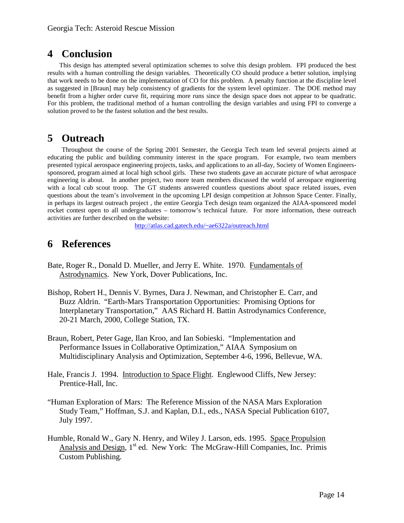# **4 Conclusion**

This design has attempted several optimization schemes to solve this design problem. FPI produced the best results with a human controlling the design variables. Theoretically CO should produce a better solution, implying that work needs to be done on the implementation of CO for this problem. A penalty function at the discipline level as suggested in [Braun] may help consistency of gradients for the system level optimizer. The DOE method may benefit from a higher order curve fit, requiring more runs since the design space does not appear to be quadratic. For this problem, the traditional method of a human controlling the design variables and using FPI to converge a solution proved to be the fastest solution and the best results.

# **5 Outreach**

Throughout the course of the Spring 2001 Semester, the Georgia Tech team led several projects aimed at educating the public and building community interest in the space program. For example, two team members presented typical aerospace engineering projects, tasks, and applications to an all-day, Society of Women Engineerssponsored, program aimed at local high school girls. These two students gave an accurate picture of what aerospace engineering is about. In another project, two more team members discussed the world of aerospace engineering with a local cub scout troop. The GT students answered countless questions about space related issues, even questions about the team's involvement in the upcoming LPI design competition at Johnson Space Center. Finally, in perhaps its largest outreach project , the entire Georgia Tech design team organized the AIAA-sponsored model rocket contest open to all undergraduates – tomorrow's technical future. For more information, these outreach activities are further described on the website:

http://atlas.cad.gatech.edu/~ae6322a/outreach.html

# **6 References**

- Bate, Roger R., Donald D. Mueller, and Jerry E. White. 1970. Fundamentals of Astrodynamics. New York, Dover Publications, Inc.
- Bishop, Robert H., Dennis V. Byrnes, Dara J. Newman, and Christopher E. Carr, and Buzz Aldrin. "Earth-Mars Transportation Opportunities: Promising Options for Interplanetary Transportation," AAS Richard H. Battin Astrodynamics Conference, 20-21 March, 2000, College Station, TX.
- Braun, Robert, Peter Gage, Ilan Kroo, and Ian Sobieski. "Implementation and Performance Issues in Collaborative Optimization," AIAA Symposium on Multidisciplinary Analysis and Optimization, September 4-6, 1996, Bellevue, WA.
- Hale, Francis J. 1994. Introduction to Space Flight. Englewood Cliffs, New Jersey: Prentice-Hall, Inc.
- "Human Exploration of Mars: The Reference Mission of the NASA Mars Exploration Study Team," Hoffman, S.J. and Kaplan, D.I., eds., NASA Special Publication 6107, July 1997.
- Humble, Ronald W., Gary N. Henry, and Wiley J. Larson, eds. 1995. Space Propulsion Analysis and Design,  $1<sup>st</sup>$  ed. New York: The McGraw-Hill Companies, Inc. Primis Custom Publishing.